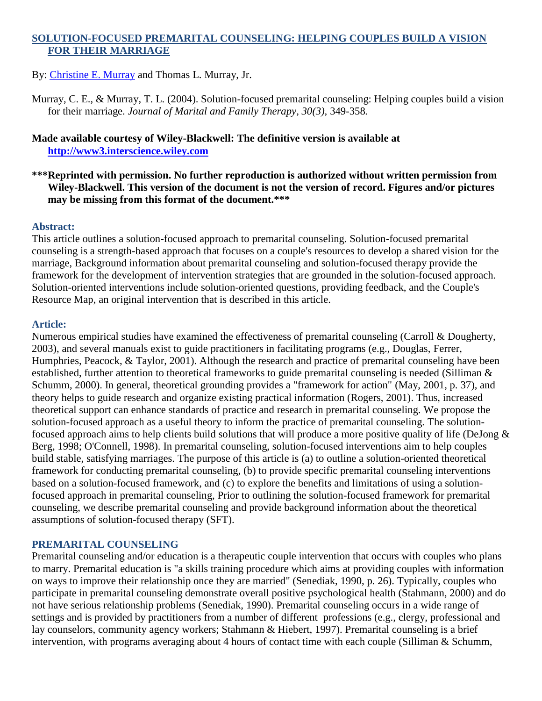# **SOLUTION-FOCUSED PREMARITAL COUNSELING: HELPING COUPLES BUILD A VISION FOR THEIR MARRIAGE**

By: [Christine E. Murray](http://libres.uncg.edu/ir/uncg/clist.aspx?id=894) and Thomas L. Murray, Jr.

Murray, C. E., & Murray, T. L. (2004). Solution-focused premarital counseling: Helping couples build a vision for their marriage. *Journal of Marital and Family Therapy, 30(3),* 349-358*.*

# **Made available courtesy of Wiley-Blackwell: The definitive version is available at [http://www3.interscience.wiley.com](http://www3.interscience.wiley.com/)**

**\*\*\*Reprinted with permission. No further reproduction is authorized without written permission from Wiley-Blackwell. This version of the document is not the version of record. Figures and/or pictures may be missing from this format of the document.\*\*\***

### **Abstract:**

This article outlines a solution-focused approach to premarital counseling. Solution-focused premarital counseling is a strength-based approach that focuses on a couple's resources to develop a shared vision for the marriage, Background information about premarital counseling and solution-focused therapy provide the framework for the development of intervention strategies that are grounded in the solution-focused approach. Solution-oriented interventions include solution-oriented questions, providing feedback, and the Couple's Resource Map, an original intervention that is described in this article.

# **Article:**

Numerous empirical studies have examined the effectiveness of premarital counseling (Carroll & Dougherty, 2003), and several manuals exist to guide practitioners in facilitating programs (e.g., Douglas, Ferrer, Humphries, Peacock, & Taylor, 2001). Although the research and practice of premarital counseling have been established, further attention to theoretical frameworks to guide premarital counseling is needed (Silliman & Schumm, 2000). In general, theoretical grounding provides a "framework for action" (May, 2001, p. 37), and theory helps to guide research and organize existing practical information (Rogers, 2001). Thus, increased theoretical support can enhance standards of practice and research in premarital counseling. We propose the solution-focused approach as a useful theory to inform the practice of premarital counseling. The solutionfocused approach aims to help clients build solutions that will produce a more positive quality of life (DeJong & Berg, 1998; O'Connell, 1998). In premarital counseling, solution-focused interventions aim to help couples build stable, satisfying marriages. The purpose of this article is (a) to outline a solution-oriented theoretical framework for conducting premarital counseling, (b) to provide specific premarital counseling interventions based on a solution-focused framework, and (c) to explore the benefits and limitations of using a solutionfocused approach in premarital counseling, Prior to outlining the solution-focused framework for premarital counseling, we describe premarital counseling and provide background information about the theoretical assumptions of solution-focused therapy (SFT).

# **PREMARITAL COUNSELING**

Premarital counseling and/or education is a therapeutic couple intervention that occurs with couples who plans to marry. Premarital education is "a skills training procedure which aims at providing couples with information on ways to improve their relationship once they are married" (Senediak, 1990, p. 26). Typically, couples who participate in premarital counseling demonstrate overall positive psychological health (Stahmann, 2000) and do not have serious relationship problems (Senediak, 1990). Premarital counseling occurs in a wide range of settings and is provided by practitioners from a number of different professions (e.g., clergy, professional and lay counselors, community agency workers; Stahmann & Hiebert, 1997). Premarital counseling is a brief intervention, with programs averaging about 4 hours of contact time with each couple (Silliman & Schumm,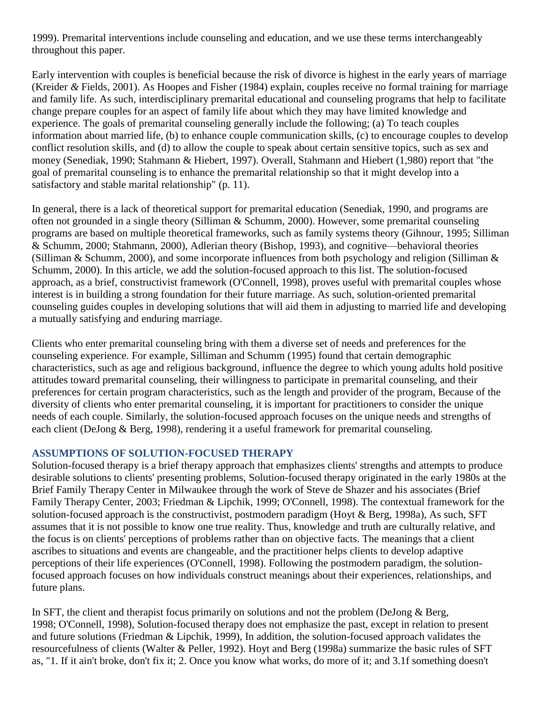1999). Premarital interventions include counseling and education, and we use these terms interchangeably throughout this paper.

Early intervention with couples is beneficial because the risk of divorce is highest in the early years of marriage (Kreider *&* Fields, 2001). As Hoopes and Fisher (1984) explain, couples receive no formal training for marriage and family life. As such, interdisciplinary premarital educational and counseling programs that help to facilitate change prepare couples for an aspect of family life about which they may have limited knowledge and experience. The goals of premarital counseling generally include the following; (a) To teach couples information about married life, (b) to enhance couple communication skills, (c) to encourage couples to develop conflict resolution skills, and (d) to allow the couple to speak about certain sensitive topics, such as sex and money (Senediak, 1990; Stahmann & Hiebert, 1997). Overall, Stahmann and Hiebert (1,980) report that "the goal of premarital counseling is to enhance the premarital relationship so that it might develop into a satisfactory and stable marital relationship" (p. 11).

In general, there is a lack of theoretical support for premarital education (Senediak, 1990, and programs are often not grounded in a single theory (Silliman & Schumm, 2000). However, some premarital counseling programs are based on multiple theoretical frameworks, such as family systems theory (Gihnour, 1995; Silliman & Schumm, 2000; Stahmann, 2000), Adlerian theory (Bishop, 1993), and cognitive—behavioral theories (Silliman & Schumm, 2000), and some incorporate influences from both psychology and religion (Silliman & Schumm, 2000). In this article, we add the solution-focused approach to this list. The solution-focused approach, as a brief, constructivist framework (O'Connell, 1998), proves useful with premarital couples whose interest is in building a strong foundation for their future marriage. As such, solution-oriented premarital counseling guides couples in developing solutions that will aid them in adjusting to married life and developing a mutually satisfying and enduring marriage.

Clients who enter premarital counseling bring with them a diverse set of needs and preferences for the counseling experience. For example, Silliman and Schumm (1995) found that certain demographic characteristics, such as age and religious background, influence the degree to which young adults hold positive attitudes toward premarital counseling, their willingness to participate in premarital counseling, and their preferences for certain program characteristics, such as the length and provider of the program, Because of the diversity of clients who enter premarital counseling, it is important for practitioners to consider the unique needs of each couple. Similarly, the solution-focused approach focuses on the unique needs and strengths of each client (DeJong & Berg, 1998), rendering it a useful framework for premarital counseling.

# **ASSUMPTIONS OF SOLUTION-FOCUSED THERAPY**

Solution-focused therapy is a brief therapy approach that emphasizes clients' strengths and attempts to produce desirable solutions to clients' presenting problems, Solution-focused therapy originated in the early 1980s at the Brief Family Therapy Center in Milwaukee through the work of Steve de Shazer and his associates (Brief Family Therapy Center, 2003; Friedman & Lipchik, 1999; O'Connell, 1998). The contextual framework for the solution-focused approach is the constructivist, postmodern paradigm (Hoyt & Berg, 1998a), As such, SFT assumes that it is not possible to know one true reality. Thus, knowledge and truth are culturally relative, and the focus is on clients' perceptions of problems rather than on objective facts. The meanings that a client ascribes to situations and events are changeable, and the practitioner helps clients to develop adaptive perceptions of their life experiences (O'Connell, 1998). Following the postmodern paradigm, the solutionfocused approach focuses on how individuals construct meanings about their experiences, relationships, and future plans.

In SFT, the client and therapist focus primarily on solutions and not the problem (DeJong & Berg, 1998; O'Connell, 1998), Solution-focused therapy does not emphasize the past, except in relation to present and future solutions (Friedman & Lipchik, 1999), In addition, the solution-focused approach validates the resourcefulness of clients (Walter & Peller, 1992). Hoyt and Berg (1998a) summarize the basic rules of SFT as, "1. If it ain't broke, don't fix it; 2. Once you know what works, do more of it; and 3.1f something doesn't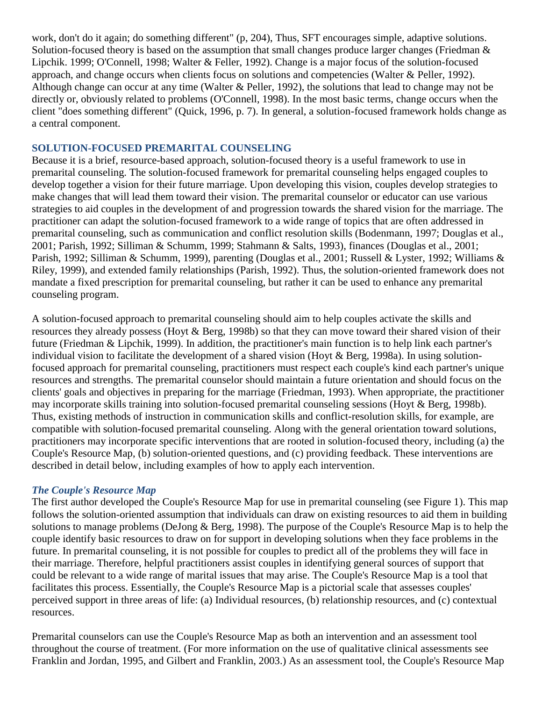work, don't do it again; do something different" (p, 204), Thus, SFT encourages simple, adaptive solutions. Solution-focused theory is based on the assumption that small changes produce larger changes (Friedman & Lipchik. 1999; O'Connell, 1998; Walter & Feller, 1992). Change is a major focus of the solution-focused approach, and change occurs when clients focus on solutions and competencies (Walter & Peller, 1992). Although change can occur at any time (Walter & Peller, 1992), the solutions that lead to change may not be directly or, obviously related to problems (O'Connell, 1998). In the most basic terms, change occurs when the client "does something different" (Quick, 1996, p. 7). In general, a solution-focused framework holds change as a central component.

### **SOLUTION-FOCUSED PREMARITAL COUNSELING**

Because it is a brief, resource-based approach, solution-focused theory is a useful framework to use in premarital counseling. The solution-focused framework for premarital counseling helps engaged couples to develop together a vision for their future marriage. Upon developing this vision, couples develop strategies to make changes that will lead them toward their vision. The premarital counselor or educator can use various strategies to aid couples in the development of and progression towards the shared vision for the marriage. The practitioner can adapt the solution-focused framework to a wide range of topics that are often addressed in premarital counseling, such as communication and conflict resolution skills (Bodenmann, 1997; Douglas et al., 2001; Parish, 1992; Silliman & Schumm, 1999; Stahmann & Salts, 1993), finances (Douglas et al., 2001; Parish, 1992; Silliman & Schumm, 1999), parenting (Douglas et al., 2001; Russell & Lyster, 1992; Williams & Riley, 1999), and extended family relationships (Parish, 1992). Thus, the solution-oriented framework does not mandate a fixed prescription for premarital counseling, but rather it can be used to enhance any premarital counseling program.

A solution-focused approach to premarital counseling should aim to help couples activate the skills and resources they already possess (Hoyt & Berg, 1998b) so that they can move toward their shared vision of their future (Friedman & Lipchik, 1999). In addition, the practitioner's main function is to help link each partner's individual vision to facilitate the development of a shared vision (Hoyt & Berg, 1998a). In using solutionfocused approach for premarital counseling, practitioners must respect each couple's kind each partner's unique resources and strengths. The premarital counselor should maintain a future orientation and should focus on the clients' goals and objectives in preparing for the marriage (Friedman, 1993). When appropriate, the practitioner may incorporate skills training into solution-focused premarital counseling sessions (Hoyt & Berg, 1998b). Thus, existing methods of instruction in communication skills and conflict-resolution skills, for example, are compatible with solution-focused premarital counseling. Along with the general orientation toward solutions, practitioners may incorporate specific interventions that are rooted in solution-focused theory, including (a) the Couple's Resource Map, (b) solution-oriented questions, and (c) providing feedback. These interventions are described in detail below, including examples of how to apply each intervention.

### *The Couple's Resource Map*

The first author developed the Couple's Resource Map for use in premarital counseling (see Figure 1). This map follows the solution-oriented assumption that individuals can draw on existing resources to aid them in building solutions to manage problems (DeJong & Berg, 1998). The purpose of the Couple's Resource Map is to help the couple identify basic resources to draw on for support in developing solutions when they face problems in the future. In premarital counseling, it is not possible for couples to predict all of the problems they will face in their marriage. Therefore, helpful practitioners assist couples in identifying general sources of support that could be relevant to a wide range of marital issues that may arise. The Couple's Resource Map is a tool that facilitates this process. Essentially, the Couple's Resource Map is a pictorial scale that assesses couples' perceived support in three areas of life: (a) Individual resources, (b) relationship resources, and (c) contextual resources.

Premarital counselors can use the Couple's Resource Map as both an intervention and an assessment tool throughout the course of treatment. (For more information on the use of qualitative clinical assessments see Franklin and Jordan, 1995, and Gilbert and Franklin, 2003.) As an assessment tool, the Couple's Resource Map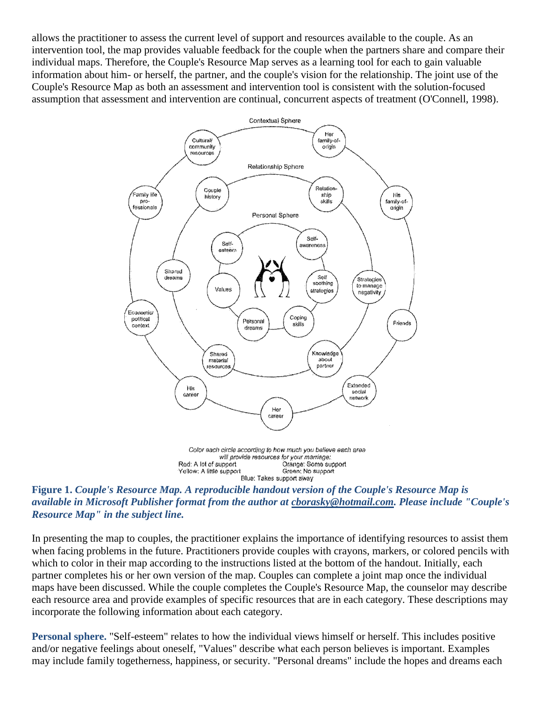allows the practitioner to assess the current level of support and resources available to the couple. As an intervention tool, the map provides valuable feedback for the couple when the partners share and compare their individual maps. Therefore, the Couple's Resource Map serves as a learning tool for each to gain valuable information about him- or herself, the partner, and the couple's vision for the relationship. The joint use of the Couple's Resource Map as both an assessment and intervention tool is consistent with the solution-focused assumption that assessment and intervention are continual, concurrent aspects of treatment (O'Connell, 1998).



Yellow: A little support Green: No support Blue: Takes support away

**Figure 1.** *Couple's Resource Map. A reproducible handout version of the Couple's Resource Map is available in Microsoft Publisher format from the author at [cborasky@hotmail.com.](mailto:cborasky@hotmail.com) Please include "Couple's Resource Map" in the subject line.*

In presenting the map to couples, the practitioner explains the importance of identifying resources to assist them when facing problems in the future. Practitioners provide couples with crayons, markers, or colored pencils with which to color in their map according to the instructions listed at the bottom of the handout. Initially, each partner completes his or her own version of the map. Couples can complete a joint map once the individual maps have been discussed. While the couple completes the Couple's Resource Map, the counselor may describe each resource area and provide examples of specific resources that are in each category. These descriptions may incorporate the following information about each category.

**Personal sphere.** "Self-esteem" relates to how the individual views himself or herself. This includes positive and/or negative feelings about oneself, "Values" describe what each person believes is important. Examples may include family togetherness, happiness, or security. "Personal dreams" include the hopes and dreams each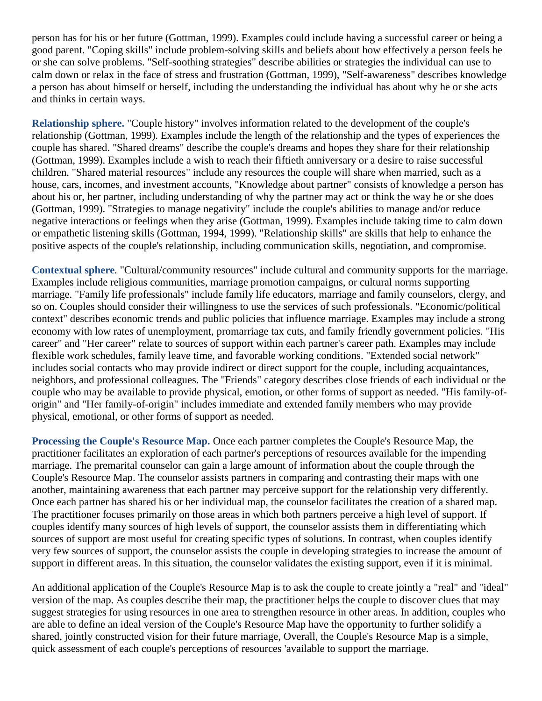person has for his or her future (Gottman, 1999). Examples could include having a successful career or being a good parent. "Coping skills" include problem-solving skills and beliefs about how effectively a person feels he or she can solve problems. "Self-soothing strategies" describe abilities or strategies the individual can use to calm down or relax in the face of stress and frustration (Gottman, 1999), "Self-awareness" describes knowledge a person has about himself or herself, including the understanding the individual has about why he or she acts and thinks in certain ways.

**Relationship sphere.** "Couple history" involves information related to the development of the couple's relationship (Gottman, 1999). Examples include the length of the relationship and the types of experiences the couple has shared. "Shared dreams" describe the couple's dreams and hopes they share for their relationship (Gottman, 1999). Examples include a wish to reach their fiftieth anniversary or a desire to raise successful children. "Shared material resources" include any resources the couple will share when married, such as a house, cars, incomes, and investment accounts, "Knowledge about partner" consists of knowledge a person has about his or, her partner, including understanding of why the partner may act or think the way he or she does (Gottman, 1999). "Strategies to manage negativity" include the couple's abilities to manage and/or reduce negative interactions or feelings when they arise (Gottman, 1999). Examples include taking time to calm down or empathetic listening skills (Gottman, 1994, 1999). "Relationship skills" are skills that help to enhance the positive aspects of the couple's relationship, including communication skills, negotiation, and compromise.

**Contextual sphere***.* "Cultural/community resources" include cultural and community supports for the marriage. Examples include religious communities, marriage promotion campaigns, or cultural norms supporting marriage. "Family life professionals" include family life educators, marriage and family counselors, clergy, and so on. Couples should consider their willingness to use the services of such professionals. "Economic/political context" describes economic trends and public policies that influence marriage. Examples may include a strong economy with low rates of unemployment, promarriage tax cuts, and family friendly government policies. "His career" and "Her career" relate to sources of support within each partner's career path. Examples may include flexible work schedules, family leave time, and favorable working conditions. "Extended social network" includes social contacts who may provide indirect or direct support for the couple, including acquaintances, neighbors, and professional colleagues. The "Friends" category describes close friends of each individual or the couple who may be available to provide physical, emotion, or other forms of support as needed. "His family-oforigin" and "Her family-of-origin" includes immediate and extended family members who may provide physical, emotional, or other forms of support as needed.

**Processing the Couple's Resource Map.** Once each partner completes the Couple's Resource Map, the practitioner facilitates an exploration of each partner's perceptions of resources available for the impending marriage. The premarital counselor can gain a large amount of information about the couple through the Couple's Resource Map. The counselor assists partners in comparing and contrasting their maps with one another, maintaining awareness that each partner may perceive support for the relationship very differently. Once each partner has shared his or her individual map, the counselor facilitates the creation of a shared map. The practitioner focuses primarily on those areas in which both partners perceive a high level of support. If couples identify many sources of high levels of support, the counselor assists them in differentiating which sources of support are most useful for creating specific types of solutions. In contrast, when couples identify very few sources of support, the counselor assists the couple in developing strategies to increase the amount of support in different areas. In this situation, the counselor validates the existing support, even if it is minimal.

An additional application of the Couple's Resource Map is to ask the couple to create jointly a "real" and "ideal" version of the map. As couples describe their map, the practitioner helps the couple to discover clues that may suggest strategies for using resources in one area to strengthen resource in other areas. In addition, couples who are able to define an ideal version of the Couple's Resource Map have the opportunity to further solidify a shared, jointly constructed vision for their future marriage, Overall, the Couple's Resource Map is a simple, quick assessment of each couple's perceptions of resources 'available to support the marriage.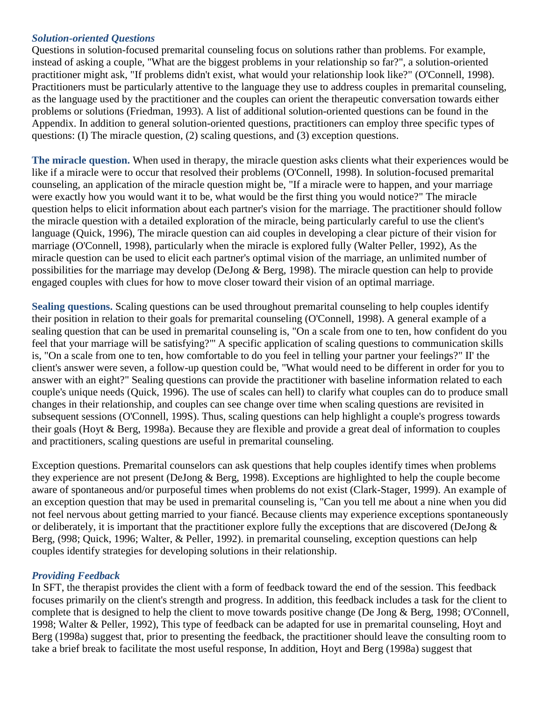## *Solution-oriented Questions*

Questions in solution-focused premarital counseling focus on solutions rather than problems. For example, instead of asking a couple, "What are the biggest problems in your relationship so far?", a solution-oriented practitioner might ask, "If problems didn't exist, what would your relationship look like?" (O'Connell, 1998). Practitioners must be particularly attentive to the language they use to address couples in premarital counseling, as the language used by the practitioner and the couples can orient the therapeutic conversation towards either problems or solutions (Friedman, 1993). A list of additional solution-oriented questions can be found in the Appendix. In addition to general solution-oriented questions, practitioners can employ three specific types of questions: (I) The miracle question, (2) scaling questions, and (3) exception questions.

**The miracle question.** When used in therapy, the miracle question asks clients what their experiences would be like if a miracle were to occur that resolved their problems (O'Connell, 1998). In solution-focused premarital counseling, an application of the miracle question might be, "If a miracle were to happen, and your marriage were exactly how you would want it to be, what would be the first thing you would notice?" The miracle question helps to elicit information about each partner's vision for the marriage. The practitioner should follow the miracle question with a detailed exploration of the miracle, being particularly careful to use the client's language (Quick, 1996), The miracle question can aid couples in developing a clear picture of their vision for marriage (O'Connell, 1998), particularly when the miracle is explored fully (Walter Peller, 1992), As the miracle question can be used to elicit each partner's optimal vision of the marriage, an unlimited number of possibilities for the marriage may develop (DeJong *&* Berg, 1998). The miracle question can help to provide engaged couples with clues for how to move closer toward their vision of an optimal marriage.

**Sealing questions.** Scaling questions can be used throughout premarital counseling to help couples identify their position in relation to their goals for premarital counseling (O'Connell, 1998). A general example of a sealing question that can be used in premarital counseling is, "On a scale from one to ten, how confident do you feel that your marriage will be satisfying?"' A specific application of scaling questions to communication skills is, "On a scale from one to ten, how comfortable to do you feel in telling your partner your feelings?" II' the client's answer were seven, a follow-up question could be, "What would need to be different in order for you to answer with an eight?" Sealing questions can provide the practitioner with baseline information related to each couple's unique needs (Quick, 1996). The use of scales can hell) to clarify what couples can do to produce small changes in their relationship, and couples can see change over time when scaling questions are revisited in subsequent sessions (O'Connell, 199S). Thus, scaling questions can help highlight a couple's progress towards their goals (Hoyt & Berg, 1998a). Because they are flexible and provide a great deal of information to couples and practitioners, scaling questions are useful in premarital counseling.

Exception questions. Premarital counselors can ask questions that help couples identify times when problems they experience are not present (DeJong & Berg, 1998). Exceptions are highlighted to help the couple become aware of spontaneous and/or purposeful times when problems do not exist (Clark-Stager, 1999). An example of an exception question that may be used in premarital counseling is, "Can you tell me about a nine when you did not feel nervous about getting married to your fiancé. Because clients may experience exceptions spontaneously or deliberately, it is important that the practitioner explore fully the exceptions that are discovered (DeJong & Berg, (998; Quick, 1996; Walter, & Peller, 1992). in premarital counseling, exception questions can help couples identify strategies for developing solutions in their relationship.

# *Providing Feedback*

In SFT, the therapist provides the client with a form of feedback toward the end of the session. This feedback focuses primarily on the client's strength and progress. In addition, this feedback includes a task for the client to complete that is designed to help the client to move towards positive change (De Jong & Berg, 1998; O'Connell, 1998; Walter & Peller, 1992), This type of feedback can be adapted for use in premarital counseling, Hoyt and Berg (1998a) suggest that, prior to presenting the feedback, the practitioner should leave the consulting room to take a brief break to facilitate the most useful response, In addition, Hoyt and Berg (1998a) suggest that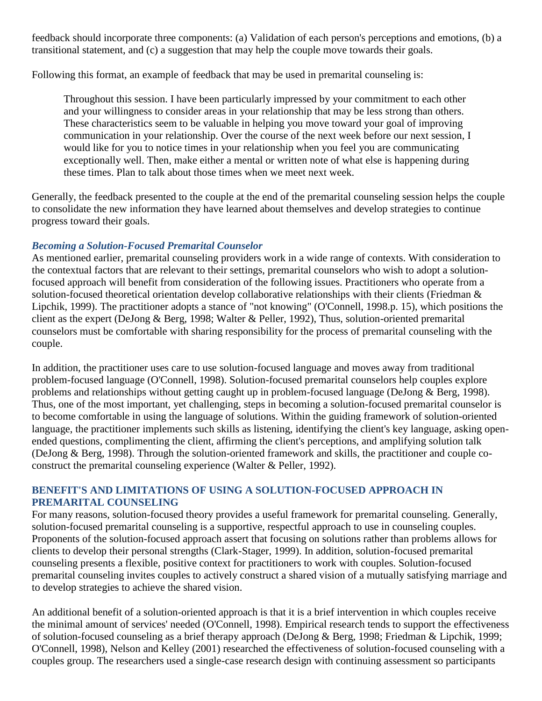feedback should incorporate three components: (a) Validation of each person's perceptions and emotions, (b) a transitional statement, and (c) a suggestion that may help the couple move towards their goals.

Following this format, an example of feedback that may be used in premarital counseling is:

Throughout this session. I have been particularly impressed by your commitment to each other and your willingness to consider areas in your relationship that may be less strong than others. These characteristics seem to be valuable in helping you move toward your goal of improving communication in your relationship. Over the course of the next week before our next session, I would like for you to notice times in your relationship when you feel you are communicating exceptionally well. Then, make either a mental or written note of what else is happening during these times. Plan to talk about those times when we meet next week.

Generally, the feedback presented to the couple at the end of the premarital counseling session helps the couple to consolidate the new information they have learned about themselves and develop strategies to continue progress toward their goals.

# *Becoming a Solution-Focused Premarital Counselor*

As mentioned earlier, premarital counseling providers work in a wide range of contexts. With consideration to the contextual factors that are relevant to their settings, premarital counselors who wish to adopt a solutionfocused approach will benefit from consideration of the following issues. Practitioners who operate from a solution-focused theoretical orientation develop collaborative relationships with their clients (Friedman & Lipchik, 1999). The practitioner adopts a stance of "not knowing" (O'Connell, 1998.p. 15), which positions the client as the expert (DeJong & Berg, 1998; Walter & Peller, 1992), Thus, solution-oriented premarital counselors must be comfortable with sharing responsibility for the process of premarital counseling with the couple.

In addition, the practitioner uses care to use solution-focused language and moves away from traditional problem-focused language (O'Connell, 1998). Solution-focused premarital counselors help couples explore problems and relationships without getting caught up in problem-focused language (DeJong & Berg, 1998). Thus, one of the most important, yet challenging, steps in becoming a solution-focused premarital counselor is to become comfortable in using the language of solutions. Within the guiding framework of solution-oriented language, the practitioner implements such skills as listening, identifying the client's key language, asking openended questions, complimenting the client, affirming the client's perceptions, and amplifying solution talk (DeJong & Berg, 1998). Through the solution-oriented framework and skills, the practitioner and couple coconstruct the premarital counseling experience (Walter & Peller, 1992).

# **BENEFIT'S AND LIMITATIONS OF USING A SOLUTION-FOCUSED APPROACH IN PREMARITAL COUNSELING**

For many reasons, solution-focused theory provides a useful framework for premarital counseling. Generally, solution-focused premarital counseling is a supportive, respectful approach to use in counseling couples. Proponents of the solution-focused approach assert that focusing on solutions rather than problems allows for clients to develop their personal strengths (Clark-Stager, 1999). In addition, solution-focused premarital counseling presents a flexible, positive context for practitioners to work with couples. Solution-focused premarital counseling invites couples to actively construct a shared vision of a mutually satisfying marriage and to develop strategies to achieve the shared vision.

An additional benefit of a solution-oriented approach is that it is a brief intervention in which couples receive the minimal amount of services' needed (O'Connell, 1998). Empirical research tends to support the effectiveness of solution-focused counseling as a brief therapy approach (DeJong & Berg, 1998; Friedman & Lipchik, 1999; O'Connell, 1998), Nelson and Kelley (2001) researched the effectiveness of solution-focused counseling with a couples group. The researchers used a single-case research design with continuing assessment so participants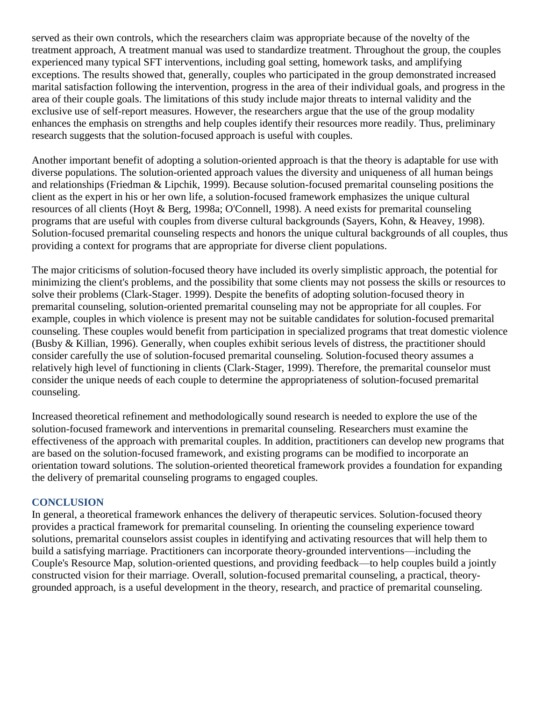served as their own controls, which the researchers claim was appropriate because of the novelty of the treatment approach, A treatment manual was used to standardize treatment. Throughout the group, the couples experienced many typical SFT interventions, including goal setting, homework tasks, and amplifying exceptions. The results showed that, generally, couples who participated in the group demonstrated increased marital satisfaction following the intervention, progress in the area of their individual goals, and progress in the area of their couple goals. The limitations of this study include major threats to internal validity and the exclusive use of self-report measures. However, the researchers argue that the use of the group modality enhances the emphasis on strengths and help couples identify their resources more readily. Thus, preliminary research suggests that the solution-focused approach is useful with couples.

Another important benefit of adopting a solution-oriented approach is that the theory is adaptable for use with diverse populations. The solution-oriented approach values the diversity and uniqueness of all human beings and relationships (Friedman & Lipchik, 1999). Because solution-focused premarital counseling positions the client as the expert in his or her own life, a solution-focused framework emphasizes the unique cultural resources of all clients (Hoyt & Berg, 1998a; O'Connell, 1998). A need exists for premarital counseling programs that are useful with couples from diverse cultural backgrounds (Sayers, Kohn, & Heavey, 1998). Solution-focused premarital counseling respects and honors the unique cultural backgrounds of all couples, thus providing a context for programs that are appropriate for diverse client populations.

The major criticisms of solution-focused theory have included its overly simplistic approach, the potential for minimizing the client's problems, and the possibility that some clients may not possess the skills or resources to solve their problems (Clark-Stager. 1999). Despite the benefits of adopting solution-focused theory in premarital counseling, solution-oriented premarital counseling may not be appropriate for all couples. For example, couples in which violence is present may not be suitable candidates for solution-focused premarital counseling. These couples would benefit from participation in specialized programs that treat domestic violence (Busby & Killian, 1996). Generally, when couples exhibit serious levels of distress, the practitioner should consider carefully the use of solution-focused premarital counseling. Solution-focused theory assumes a relatively high level of functioning in clients (Clark-Stager, 1999). Therefore, the premarital counselor must consider the unique needs of each couple to determine the appropriateness of solution-focused premarital counseling.

Increased theoretical refinement and methodologically sound research is needed to explore the use of the solution-focused framework and interventions in premarital counseling. Researchers must examine the effectiveness of the approach with premarital couples. In addition, practitioners can develop new programs that are based on the solution-focused framework, and existing programs can be modified to incorporate an orientation toward solutions. The solution-oriented theoretical framework provides a foundation for expanding the delivery of premarital counseling programs to engaged couples.

### **CONCLUSION**

In general, a theoretical framework enhances the delivery of therapeutic services. Solution-focused theory provides a practical framework for premarital counseling. In orienting the counseling experience toward solutions, premarital counselors assist couples in identifying and activating resources that will help them to build a satisfying marriage. Practitioners can incorporate theory-grounded interventions—including the Couple's Resource Map, solution-oriented questions, and providing feedback—to help couples build a jointly constructed vision for their marriage. Overall, solution-focused premarital counseling, a practical, theorygrounded approach, is a useful development in the theory, research, and practice of premarital counseling.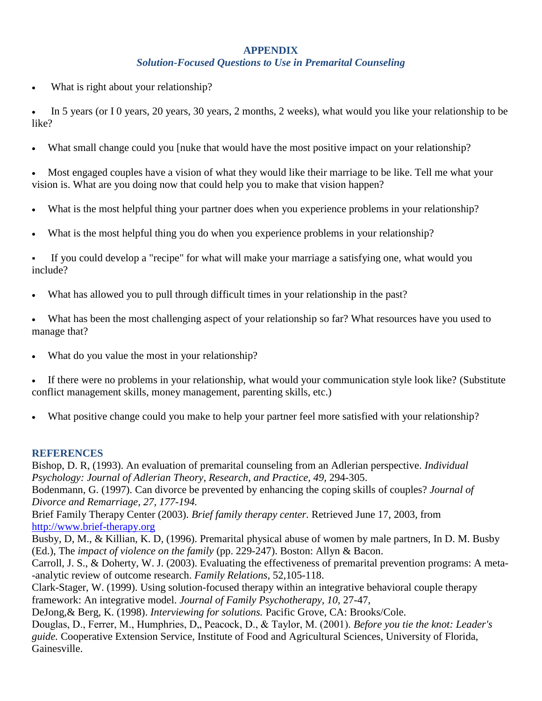## **APPENDIX**

# *Solution-Focused Questions to Use in Premarital Counseling*

What is right about your relationship?

In 5 years (or I 0 years, 20 years, 30 years, 2 months, 2 weeks), what would you like your relationship to be like?

What small change could you [nuke that would have the most positive impact on your relationship?

 Most engaged couples have a vision of what they would like their marriage to be like. Tell me what your vision is. What are you doing now that could help you to make that vision happen?

- What is the most helpful thing your partner does when you experience problems in your relationship?
- What is the most helpful thing you do when you experience problems in your relationship?

 If you could develop a "recipe" for what will make your marriage a satisfying one, what would you include?

What has allowed you to pull through difficult times in your relationship in the past?

 What has been the most challenging aspect of your relationship so far? What resources have you used to manage that?

What do you value the most in your relationship?

 If there were no problems in your relationship, what would your communication style look like? (Substitute conflict management skills, money management, parenting skills, etc.)

What positive change could you make to help your partner feel more satisfied with your relationship?

### **REFERENCES**

Bishop, D. R, (1993). An evaluation of premarital counseling from an Adlerian perspective. *Individual Psychology: Journal of Adlerian Theory, Research, and Practice, 49, 294-305.* Bodenmann, G. (1997). Can divorce be prevented by enhancing the coping skills of couples? *Journal of Divorce and Remarriage, 27, 177-194.* Brief Family Therapy Center (2003). *Brief family therapy center.* Retrieved June 17, 2003, from [http://www.brief-therapy.org](http://www.brief-therapy.org/) Busby, D, M., & Killian, K. D, (1996). Premarital physical abuse of women by male partners, In D. M. Busby (Ed.), The *impact of violence on the family* (pp. 229-247). Boston: Allyn & Bacon. Carroll, J. S., & Doherty, W. J. (2003). Evaluating the effectiveness of premarital prevention programs: A meta- -analytic review of outcome research. *Family Relations,* 52,105-118. Clark-Stager, W. (1999). Using solution-focused therapy within an integrative behavioral couple therapy framework: An integrative model. *Journal of Family Psychotherapy, 10,* 27-47, DeJong,& Berg, K. (1998). *Interviewing for solutions.* Pacific Grove, CA: Brooks/Cole. Douglas, D., Ferrer, M., Humphries, D., Peacock, D., & Taylor, M. (2001). *Before you tie the knot: Leader's guide.* Cooperative Extension Service, Institute of Food and Agricultural Sciences, University of Florida, Gainesville.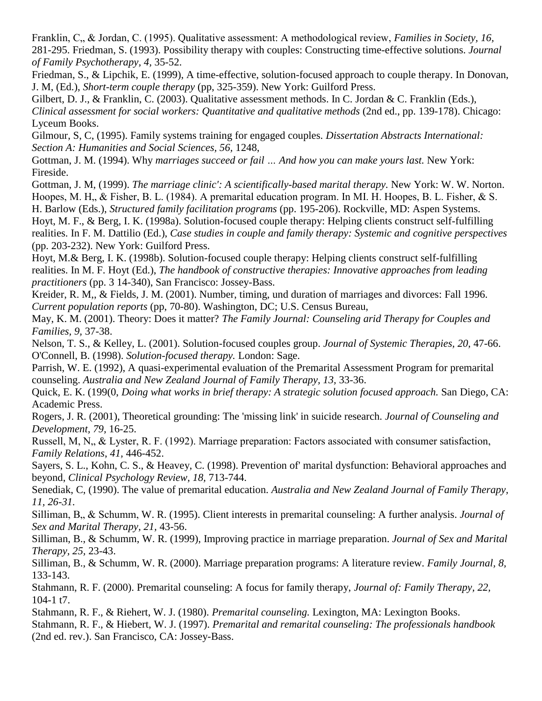Franklin, C., & Jordan, C. (1995). Qualitative assessment: A methodological review, *Families in Society*, 16, 281-295. Friedman, S. (1993). Possibility therapy with couples: Constructing time-effective solutions. *Journal of Family Psychotherapy, 4,* 35-52.

Friedman, S., & Lipchik, E. (1999), A time-effective, solution-focused approach to couple therapy. In Donovan, J. M, (Ed.), *Short-term couple therapy* (pp, 325-359). New York: Guilford Press.

Gilbert, D. J., & Franklin, C. (2003). Qualitative assessment methods. In C. Jordan & C. Franklin (Eds.), *Clinical assessment for social workers: Quantitative and qualitative methods* (2nd ed., pp. 139-178). Chicago: Lyceum Books.

Gilmour, S, C, (1995). Family systems training for engaged couples. *Dissertation Abstracts International: Section A: Humanities and Social Sciences, 56,* 1248,

Gottman, J. M. (1994). Why *marriages succeed or fail … And how you can make yours last.* New York: Fireside.

Gottman, J. M, (1999). *The marriage clinic': A scientifically-based marital therapy*. New York: W. W. Norton. Hoopes, M. H., & Fisher, B. L. (1984). A premarital education program. In MI. H. Hoopes, B. L. Fisher, & S. H. Barlow (Eds.), *Structured family facilitation programs* (pp. 195-206). Rockville, MD: Aspen Systems.

Hoyt, M. F., & Berg, I. K. (1998a). Solution-focused couple therapy: Helping clients construct self-fulfilling realities. In F. M. Dattilio (Ed.), *Case studies in couple and family therapy: Systemic and cognitive perspectives*  (pp. 203-232). New York: Guilford Press.

Hoyt, M.& Berg, I. K. (1998b). Solution-focused couple therapy: Helping clients construct self-fulfilling realities. In M. F. Hoyt (Ed.), *The handbook of constructive therapies: Innovative approaches from leading practitioners* (pp. 3 14-340), San Francisco: Jossey-Bass.

Kreider, R. M,, & Fields, J. M. (2001). Number, timing, und duration of marriages and divorces: Fall 1996. *Current population reports* (pp, 70-80). Washington, DC; U.S. Census Bureau,

May, K. M. (2001). Theory: Does it matter? *The Family Journal: Counseling arid Therapy for Couples and Families, 9,* 37-38.

Nelson, T. S., & Kelley, L. (2001). Solution-focused couples group. *Journal of Systemic Therapies, 20,* 47-66. O'Connell, B. (1998). *Solution-focused therapy.* London: Sage.

Parrish, W. E. (1992), A quasi-experimental evaluation of the Premarital Assessment Program for premarital counseling. *Australia and New Zealand Journal of Family Therapy, 13,* 33-36.

Quick, E. K. (199(0, *Doing what works in brief therapy: A strategic solution focused approach.* San Diego, CA: Academic Press.

Rogers, J. R. (2001), Theoretical grounding: The 'missing link' in suicide research. *Journal of Counseling and Development, 79,* 16-25.

Russell, M, N., & Lyster, R. F. (1992). Marriage preparation: Factors associated with consumer satisfaction, *Family Relations*, *41,* 446-452.

Sayers, S. L., Kohn, C. S., & Heavey, C. (1998). Prevention of' marital dysfunction: Behavioral approaches and beyond, *Clinical Psychology Review, 18,* 713-744.

Senediak, C, (1990). The value of premarital education. *Australia and New Zealand Journal of Family Therapy, 11, 26-31.*

Silliman, B" & Schumm, W. R. (1995). Client interests in premarital counseling: A further analysis. *Journal of Sex and Marital Therapy, 21,* 43-56.

Silliman, B., & Schumm, W. R. (1999), Improving practice in marriage preparation. *Journal of Sex and Marital Therapy, 25,* 23-43.

Silliman, B., & Schumm, W. R. (2000). Marriage preparation programs: A literature review. *Family Journal, 8,*  133-143.

Stahmann, R. F. (2000). Premarital counseling: A focus for family therapy, *Journal of: Family Therapy, 22,*  104-1 t7.

Stahmann, R. F., & Riehert, W. J. (1980). *Premarital counseling.* Lexington, MA: Lexington Books.

Stahmann, R. F., & Hiebert, W. J. (1997). *Premarital and remarital counseling: The professionals handbook*  (2nd ed. rev.). San Francisco, CA: Jossey-Bass.